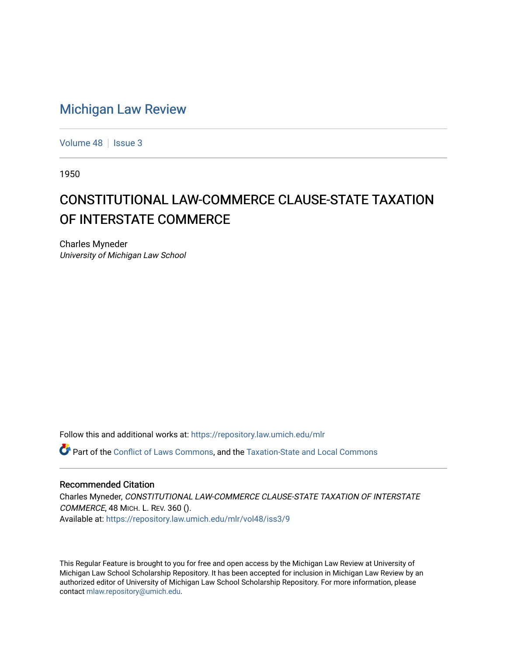## [Michigan Law Review](https://repository.law.umich.edu/mlr)

[Volume 48](https://repository.law.umich.edu/mlr/vol48) | [Issue 3](https://repository.law.umich.edu/mlr/vol48/iss3)

1950

## CONSTITUTIONAL LAW-COMMERCE CLAUSE-STATE TAXATION OF INTERSTATE COMMERCE

Charles Myneder University of Michigan Law School

Follow this and additional works at: [https://repository.law.umich.edu/mlr](https://repository.law.umich.edu/mlr?utm_source=repository.law.umich.edu%2Fmlr%2Fvol48%2Fiss3%2F9&utm_medium=PDF&utm_campaign=PDFCoverPages) 

Part of the [Conflict of Laws Commons,](http://network.bepress.com/hgg/discipline/588?utm_source=repository.law.umich.edu%2Fmlr%2Fvol48%2Fiss3%2F9&utm_medium=PDF&utm_campaign=PDFCoverPages) and the [Taxation-State and Local Commons](http://network.bepress.com/hgg/discipline/882?utm_source=repository.law.umich.edu%2Fmlr%2Fvol48%2Fiss3%2F9&utm_medium=PDF&utm_campaign=PDFCoverPages)

## Recommended Citation

Charles Myneder, CONSTITUTIONAL LAW-COMMERCE CLAUSE-STATE TAXATION OF INTERSTATE COMMERCE, 48 MICH. L. REV. 360 (). Available at: [https://repository.law.umich.edu/mlr/vol48/iss3/9](https://repository.law.umich.edu/mlr/vol48/iss3/9?utm_source=repository.law.umich.edu%2Fmlr%2Fvol48%2Fiss3%2F9&utm_medium=PDF&utm_campaign=PDFCoverPages)

This Regular Feature is brought to you for free and open access by the Michigan Law Review at University of Michigan Law School Scholarship Repository. It has been accepted for inclusion in Michigan Law Review by an authorized editor of University of Michigan Law School Scholarship Repository. For more information, please contact [mlaw.repository@umich.edu](mailto:mlaw.repository@umich.edu).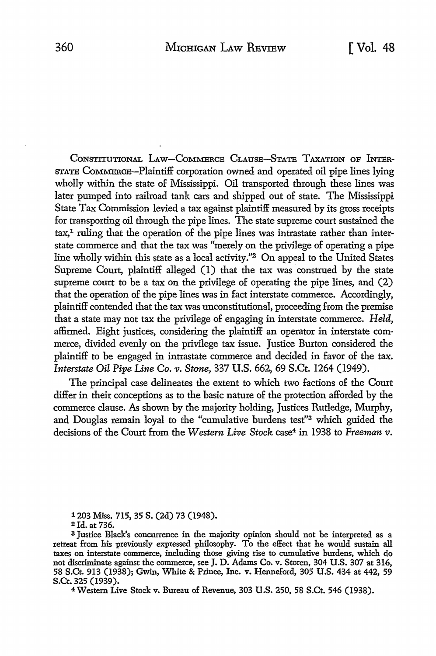CONSTITUTIONAL LAW-COMMERCE CLAUSE-STATE TAXATION OF INTER-STATE CoMMERCE-Plaintiff corporation owned and operated oil pipe lines lying wholly within the state of Mississippi. Oil transported through these lines was later pumped into railroad tank cars and shipped out of state. The Mississippi State Tax Commission levied a tax against plaintiff measured by its gross receipts for transporting oil through the pipe lines. The state supreme court sustained the tax,<sup>1</sup> ruling that the operation of the pipe lines was intrastate rather than interstate commerce and that the tax was "merely on the privilege of operating a pipe line wholly within this state as a local activity."2 On appeal to the United States Supreme Court, plaintiff alleged (I) that the tax was construed by the state supreme court to be a tax on the privilege of operating the pipe lines, and (2) that the operation of the pipe lines was in fact interstate commerce. Accordingly, plaintiff contended that the tax was unconstitutional, proceeding from the premise that a state may not tax the privilege of engaging in interstate commerce. *Held,*  affirmed. Eight justices, considering the plaintiff an operator in interstate commerce, divided evenly on the privilege tax issue. Justice Burton considered the plaintiff to be engaged in intrastate commerce and decided in favor of the tax. *Interstate Oil Pipe Line Co. v. Stone,* 337 **U.S.** 662, 69 S.Ct. 1264 (1949).

The principal case delineates the extent to which two factions of the Court differ in their conceptions as to the basic nature of the protection afforded by the commerce clause. As shown by the majority holding, Justices Rutledge, Murphy, and Douglas remain loyal to the "cumulative burdens test"3 which guided the decisions of the Court from the *Western Live Stock* case4 in 1938 to *Freeman v.* 

1 203 Miss. 715, 35 s. (2d) 73 (1948).

2Jd. at 736.

4 Western Live Stock v. Bureau of Revenue, 303 U.S. 250, 58 S.Ct. 546 (1938).

<sup>3</sup>Justice Black's concurrence in the majority opinion should not be interpreted as a retreat from his previously expressed philosophy. To the effect that he would sustain all taxes on interstate commerce, including those giving rise to cumulative burdens, which do not discriminate against the commerce, see J. D. Adams Co. v. Storen, 304 U.S. 307 at 316, 58 S.Ct. 913 (1938); Gwin, White & Prince, Inc. v. Henneford, 305 U.S. 434 at 442, 59 S.Ct. 325 (1939).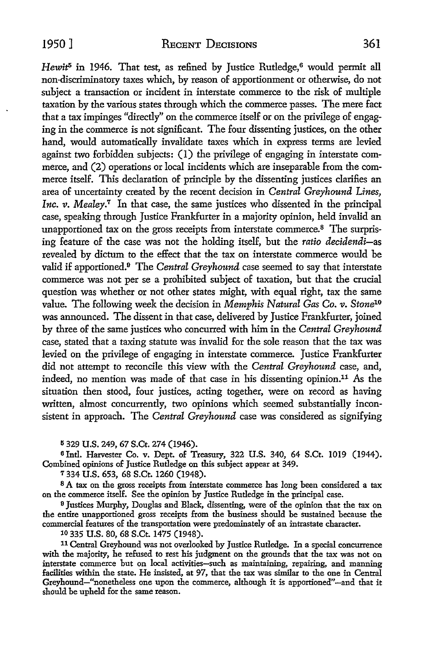$Hewit^5$  in 1946. That test, as refined by Justice Rutledge,<sup>6</sup> would permit all non-discriminatory taxes which, by reason of apportionment or otherwise, do not subject a transaction or incident in interstate commerce to the risk of multiple taxation by the various states through which the commerce passes. The mere fact that a tax impinges "directly" on the commerce itself or on the privilege of engaging in the commerce is not significant. The four dissenting justices, on the other hand, would automatically invalidate taxes which in express terms are levied against two forbidden subjects: (I) the privilege of engaging in interstate commerce, and (2) operations or local incidents which are inseparable from the commerce itself. This declaration of principle by the dissenting justices clarifies an area of uncertainty created by the recent decision in *Central Greyhound Lines, Inc. v. Mealey.*<sup>7</sup> In that case, the same justices who dissented in the principal case, speaking through Justice Frankfurter in a majority opinion, held invalid an unapportioned tax on the gross receipts from interstate commerce.8 The surprising feature of the case was not the holding itself, but the *ratio decidendi-as*  revealed by dictum to the effect that the tax on interstate commerce would be valid if apportioned.<sup>9</sup> The *Central Greyhound* case seemed to say that interstate commerce was not per se a prohibited subject of taxation, but that the crucial question was whether or not other states might, with equal right, tax the same value. The following week the decision in *Memphis Natural Gas Co. v. Stone10*  was announced. The dissent in that case, delivered by Justice Frankfurter, joined by three of the same justices who concurred with him in the *Central Greyhound*  case, stated that a taxing statute was invalid for the sole reason that the tax was levied on the privilege of engaging in interstate commerce. Justice Frankfurter did not attempt to reconcile this view with the *Central Greyhound* case, and, indeed, no mention was made of that case in his dissenting opinion.<sup>11</sup> As the situation then stood, four justices, acting together, were on record as having written, almost concurrently, two opinions which seemed substantially inconsistent in approach. The *Central Greyhound* case was considered as signifying

5 329 U.S. 249, 67 S.Ct. 274 (1946).

6 Intl. Harvester Co. v. Dept. of Treasury, 322 U.S. 340, 64 S.Ct. 1019 (1944). Combined opinions of Justice Rutledge on this subject appear at 349.

<sup>7</sup>334 U.S. 653, 68 S.Ct. 1260 (1948).

8 A tax on the gross receipts from interstate commerce has long been considered a tax on the commerce itself. See the opinion by Justice Rutledge in the principal case.

<sup>9</sup> Justices Murphy, Douglas and Black, dissenting, were of the opinion that the tax on the entire unapportioned gross receipts from the business should be sustained because the commercial features of the transportation were predominately of an intrastate character.

10 335 U.S. 80, 68 S.Ct. 1475 (1948).

<sup>11</sup>Central Greyhound was not overlooked by Justice Rutledge. In a special concurrence with the majority, he refused *to* rest his judgment on the grounds that the tax was not on interstate commerce but on local activities-such as maintaining, repairing, and manning facilities within the state. He insisted, at 97, that the tax was similar to the one in Central Greyhound-"nonetheless one upon the commerce, although it is apportioned" -and that it should be upheld for the same reason.